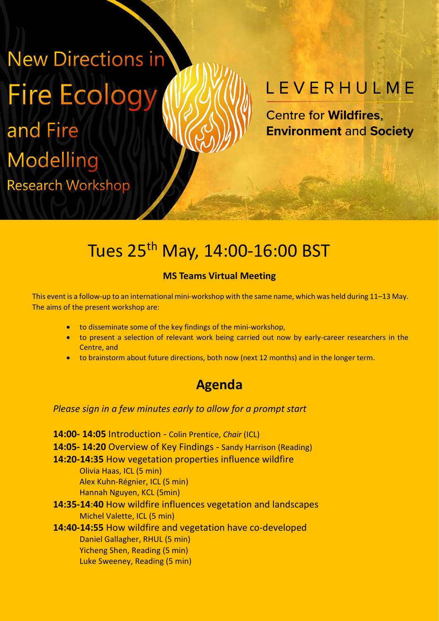# **New Directions in Fire Ecology** and Fire Modelling **Research Workshop**

## LEVERHULME

**Centre for Wildfires. Environment and Society** 

### Tues 25<sup>th</sup> May, 14:00-16:00 BST

#### **MS Teams Virtual Meeting**

This event is a follow-up to an international mini-workshop with the same name, which was held during 11–13 May. The aims of the present workshop are:

- to disseminate some of the key findings of the mini-workshop,
- to present a selection of relevant work being carried out now by early-career researchers in the Centre, and
- to brainstorm about future directions, both now (next 12 months) and in the longer term.

### **Agenda**

#### *Please sign in a few minutes early to allow for a prompt start*

**14:00- 14:05** Introduction - Colin Prentice, *Chair* (ICL) **14:05- 14:20** Overview of Key Findings - Sandy Harrison (Reading) **14:20-14:35** How vegetation properties influence wildfire Olivia Haas, ICL (5 min) Alex Kuhn-Régnier, ICL (5 min) Hannah Nguyen, KCL (5min) **14:35-14**:**40** How wildfire influences vegetation and landscapes Michel Valette, ICL (5 min) **14:40-14:55** How wildfire and vegetation have co-developed Daniel Gallagher, RHUL (5 min) Yicheng Shen, Reading (5 min) Luke Sweeney, Reading (5 min)